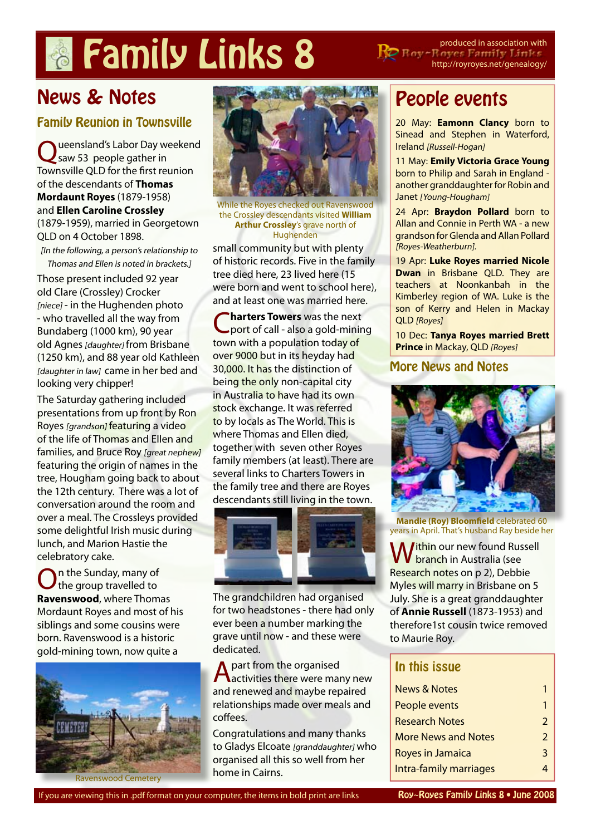# **Family Links 8** PRE Reserved in association with

http://royroyes.net/genealogy/

# News & Notes

### Family Reunion in Townsville

ueensland's Labor Day weekend saw 53 people gather in Townsville QLD for the first reunion of the descendants of **[Thomas](http://royroyes.net/genealogy/getperson.php?personID=I1059&tree=rr_tree)  [Mordaunt Royes](http://royroyes.net/genealogy/getperson.php?personID=I1059&tree=rr_tree)** (1879-1958) and **[Ellen Caroline Crossley](http://royroyes.net/genealogy/getperson.php?personID=I203&tree=rr_tree)** (1879-1959), married in Georgetown QLD on 4 October 1898. [In the following, a person's relationship to

Thomas and Ellen is noted in brackets.]

Those present included 92 year old Clare (Crossley) Crocker [niece] - in the Hughenden photo - who travelled all the way from Bundaberg (1000 km), 90 year old Agnes [daughter] from Brisbane (1250 km), and 88 year old Kathleen [daughter in law] came in her bed and looking very chipper!

The Saturday gathering included presentations from up front by Ron Royes [grandson] featuring a video of the life of Thomas and Ellen and families, and Bruce Roy [great nephew] featuring the origin of names in the tree, Hougham going back to about the 12th century. There was a lot of conversation around the room and over a meal. The Crossleys provided some delightful Irish music during lunch, and Marion Hastie the celebratory cake.

On the Sunday, many of the group travelled to **[Ravenswood](http://royroyes.net/genealogy/placesearch.php?tree=rr_tree&psearch=Ravenswood%2C+QLD%2C+Australia)**, where Thomas Mordaunt Royes and most of his siblings and some cousins were born. Ravenswood is a historic gold-mining town, now quite a





While the Royes checked out Ravenswood the Crossley descendants visited **[William](http://royroyes.net/genealogy/getperson.php?personID=I8478&tree=rr_tree)  [Arthur Crossley](http://royroyes.net/genealogy/getperson.php?personID=I8478&tree=rr_tree)**'s grave north of Hughenden

small community but with plenty of historic records. Five in the family tree died here, 23 lived here (15 were born and went to school here), and at least one was married here.

C**[harters Towers](http://royroyes.net/genealogy/placesearch.php?tree=rr_tree&psearch=Charters+Towers%2C+QLD%2C+Australia)** was the next port of call - also a gold-mining town with a population today of over 9000 but in its heyday had 30,000. It has the distinction of being the only non-capital city in Australia to have had its own stock exchange. It was referred to by locals as The World. This is where Thomas and Ellen died, together with seven other Royes family members (at least). There are several links to Charters Towers in the family tree and there are Royes descendants still living in the town.



The grandchildren had organised for two headstones - there had only ever been a number marking the grave until now - and these were dedicated.

A part from the organised<br>Aactivities there were many new and renewed and maybe repaired relationships made over meals and coffees.

Congratulations and many thanks to Gladys Elcoate [granddaughter] who organised all this so well from her home in Cairns.

# People events

20 May: **[Eamonn Clancy](http://royroyes.net/genealogy/getperson.php?personID=I1860&tree=rr_tree)** born to Sinead and Stephen in Waterford, Ireland [Russell-Hogan]

11 May: **[Emily Victoria Grace Young](http://royroyes.net/genealogy/getperson.php?personID=I1884&tree=rr_tree)** born to Philip and Sarah in England another granddaughter for Robin and Janet [Young-Hougham]

24 Apr: **[Braydon Pollard](http://royroyes.net/genealogy/getperson.php?personID=I1882&tree=rr_tree)** born to Allan and Connie in Perth WA - a new grandson for Glenda and Allan Pollard [Royes-Weatherburn].

**1** 19 Apr: **Luke Royes married Nicole Dwan** in Brisbane QLD. They are teachers at Noonkanbah in the Kimberley region of WA. Luke is the son of Kerry and Helen in Mackay QLD [Royes]

10 Dec: **[Tanya Royes married Brett](http://royroyes.net/genealogy/familygroup.php?familyID=F880&tree=rr_tree)  [Prince](http://royroyes.net/genealogy/familygroup.php?familyID=F880&tree=rr_tree)** in Mackay, QLD [Royes]

#### More News and Notes



**[Mandie \(Roy\) Bloomfield](http://royroyes.net/genealogy/getperson.php?personID=I842&tree=rr_tree)** celebrated 60 years in April. That's husband Ray beside her

Within our new found Russell<br>W branch in Australia (see Research notes on p 2), Debbie Myles will marry in Brisbane on 5 July. She is a great granddaughter of **[Annie Russell](http://royroyes.net/genealogy/getperson.php?personID=I1848&tree=rr_tree)** (1873-1953) and therefore1st cousin twice removed to Maurie Roy.

#### In this issue

| <b>News &amp; Notes</b>    |               |
|----------------------------|---------------|
| People events              | 1             |
| <b>Research Notes</b>      | $\mathcal{P}$ |
| <b>More News and Notes</b> | $\mathcal{P}$ |
| Royes in Jamaica           | २             |
| Intra-family marriages     |               |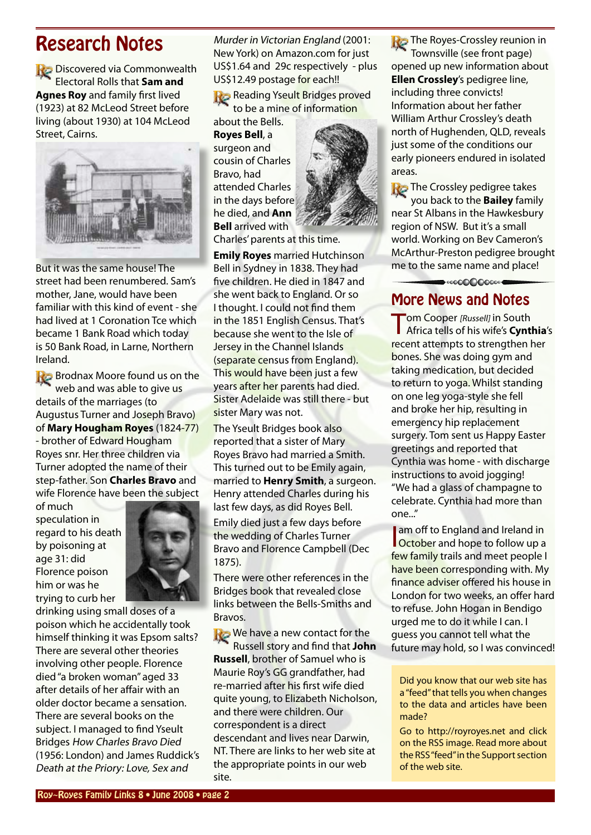# <span id="page-1-0"></span>Research Notes

Discovered via Commonwealth Electoral Rolls that **[Sam and](http://royroyes.net/genealogy/familygroup.php?familyID=F5&tree=rr_tree)  [Agnes Roy](http://royroyes.net/genealogy/familygroup.php?familyID=F5&tree=rr_tree)** and family first lived (1923) at 82 McLeod Street before living (about 1930) at 104 McLeod Street, Cairns.



But it was the same house! The street had been renumbered. Sam's mother, Jane, would have been familiar with this kind of event - she had lived at 1 Coronation Tce which became 1 Bank Road which today is 50 Bank Road, in Larne, Northern Ireland.

**Brodnax Moore found us on the** web and was able to give us details of the marriages (to Augustus Turner and Joseph Bravo) of **[Mary Hougham Royes](http://royroyes.net/genealogy/getperson.php?personID=I3186&tree=rr_tree)** (1824-77) - brother of Edward Hougham Royes snr. Her three children via Turner adopted the name of their step-father. Son **[Charles Bravo](http://royroyes.net/genealogy/getperson.php?personID=I1731&tree=rr_tree)** and wife Florence have been the subject

of much speculation in regard to his death by poisoning at age 31: did Florence poison him or was he trying to curb her



drinking using small doses of a poison which he accidentally took himself thinking it was Epsom salts? There are several other theories involving other people. Florence died "a broken woman" aged 33 after details of her affair with an older doctor became a sensation. There are several books on the subject. I managed to find Yseult Bridges How Charles Bravo Died (1956: London) and James Ruddick's Death at the Priory: Love, Sex and

Murder in Victorian England (2001: New York) on Amazon.com for just US\$1.64 and 29c respectively - plus US\$12.49 postage for each!!

**Reading Yseult Bridges proved** to be a mine of information

about the Bells. **[Royes Bell](http://royroyes.net/genealogy/getperson.php?personID=I4755&tree=rr_tree)**, a surgeon and cousin of Charles Bravo, had attended Charles in the days before he died, and **Ann Bell** arrived with



Charles' parents at this time.

**[Emily Royes](http://royroyes.net/genealogy/getperson.php?personID=I3189&tree=rr_tree)** married Hutchinson Bell in Sydney in 1838. They had five children. He died in 1847 and she went back to England. Or so I thought. I could not find them in the 1851 English Census. That's because she went to the Isle of Jersey in the Channel Islands (separate census from England). This would have been just a few years after her parents had died. Sister Adelaide was still there - but sister Mary was not.

The Yseult Bridges book also reported that a sister of Mary Royes Bravo had married a Smith. This turned out to be Emily again, married to **[Henry Smith](http://royroyes.net/genealogy/getperson.php?personID=I585&tree=rr_tree)**, a surgeon. Henry attended Charles during his last few days, as did Royes Bell. Emily died just a few days before the wedding of Charles Turner Bravo and Florence Campbell (Dec 1875).

There were other references in the Bridges book that revealed close links between the Bells-Smiths and Bravos.

**We have a new contact for the** Russell story and find that **John Russell**, brother of Samuel who is Maurie Roy's GG grandfather, had re-married after his first wife died quite young, to Elizabeth Nicholson, and there were children. Our correspondent is a direct descendant and lives near Darwin, NT. There are links to her web site at the appropriate points in our web site.

**The Royes-Crossley reunion in** 

Townsville (see front page) opened up new information about **[Ellen Crossley](http://royroyes.net/genealogy/getperson.php?personID=I203&tree=rr_tree)**'s pedigree line, including three convicts! Information about her father William Arthur Crossley's death north of Hughenden, QLD, reveals just some of the conditions our early pioneers endured in isolated areas.

**The Crossley pedigree takes** you back to the **[Bailey](http://royroyes.net/genealogy/placesearch.php?tree=rr_tree&psearch=St+Albans%2C+NSW%2C+Australia)** family near St Albans in the Hawkesbury region of NSW. But it's a small world. Working on Bev Cameron's McArthur-Preston pedigree brought me to the same name and place!

➡.00000000000

More News and Notes

Tom Cooper [Russell] in South Africa tells of his wife's **[Cynthia](http://royroyes.net/genealogy/getperson.php?personID=I35&tree=rr_tree)**'s recent attempts to strengthen her bones. She was doing gym and taking medication, but decided to return to yoga. Whilst standing on one leg yoga-style she fell and broke her hip, resulting in emergency hip replacement surgery. Tom sent us Happy Easter greetings and reported that Cynthia was home - with discharge instructions to avoid jogging! "We had a glass of champagne to celebrate. Cynthia had more than one..."

am off to England and Ireland in<br>October and hope to follow up a am off to England and Ireland in few family trails and meet people I have been corresponding with. My finance adviser offered his house in London for two weeks, an offer hard to refuse. John Hogan in Bendigo urged me to do it while I can. I guess you cannot tell what the future may hold, so I was convinced!

Did you know that our web site has a "feed" that tells you when changes to the data and articles have been made?

Go to http://royroyes.net and click on the RSS image. Read more about the RSS "feed" in the Support section of the web site.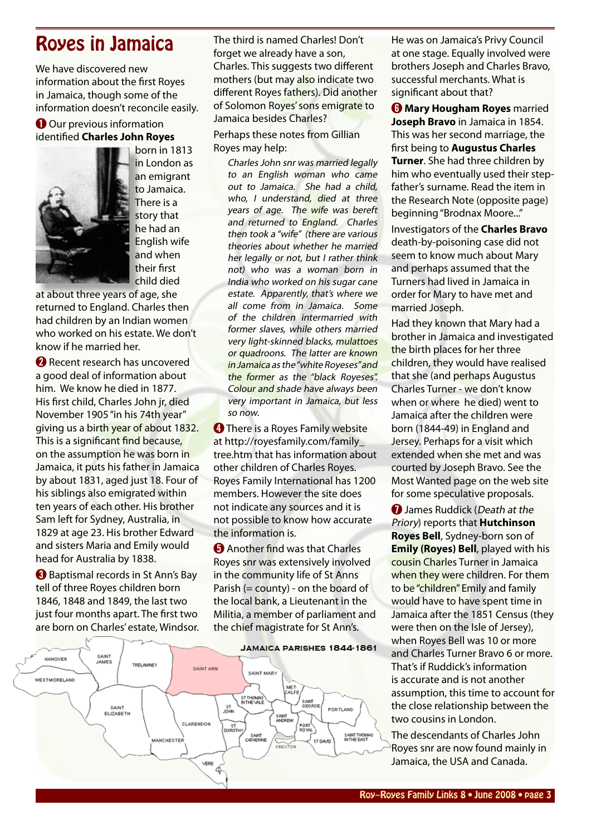## <span id="page-2-0"></span>Royes in Jamaica

We have discovered new information about the first Royes in Jamaica, though some of the information doesn't reconcile easily.

#### **O** Our previous information identified **[Charles John Royes](http://royroyes.net/genealogy/getperson.php?personID=I2950&tree=rr_tree)**



born in 1813 in London as an emigrant to Jamaica. There is a story that he had an English wife and when their first child died

at about three years of age, she returned to England. Charles then had children by an Indian women who worked on his estate. We don't know if he married her.

➋ Recent research has uncovered a good deal of information about him. We know he died in 1877. His first child, Charles John jr, died November 1905 "in his 74th year" giving us a birth year of about 1832. This is a significant find because, on the assumption he was born in Jamaica, it puts his father in Jamaica by about 1831, aged just 18. Four of his siblings also emigrated within ten years of each other. His brother Sam left for Sydney, Australia, in 1829 at age 23. His brother Edward and sisters Maria and Emily would head for Australia by 1838.

➌ Baptismal records in St Ann's Bay tell of three Royes children born 1846, 1848 and 1849, the last two just four months apart. The first two are born on Charles' estate, Windsor. The third is named Charles! Don't forget we already have a son, Charles. This suggests two different mothers (but may also indicate two different Royes fathers). Did another of Solomon Royes' sons emigrate to Jamaica besides Charles?

Perhaps these notes from Gillian Royes may help:

Charles John snr was married legally to an English woman who came out to Jamaica. She had a child, who, I understand, died at three years of age. The wife was bereft and returned to England. Charles then took a "wife" (there are various theories about whether he married her legally or not, but I rather think not) who was a woman born in India who worked on his sugar cane estate. Apparently, that's where we all come from in Jamaica. Some of the children intermarried with former slaves, while others married very light-skinned blacks, mulattoes or quadroons. The latter are known in Jamaica as the "white Royeses" and the former as the "black Royeses". Colour and shade have always been very important in Jamaica, but less so now.

**<sup>4</sup>** There is a Royes Family website at [http://royesfamily.com/family\\_](http://royesfamily.com/family_tree.htm) [tree.htm](http://royesfamily.com/family_tree.htm) that has information about other children of Charles Royes. Royes Family International has 1200 members. However the site does not indicate any sources and it is not possible to know how accurate the information is.

**O** Another find was that Charles Royes snr was extensively involved in the community life of St Anns Parish (= county) - on the board of the local bank, a Lieutenant in the Militia, a member of parliament and the chief magistrate for St Ann's.



He was on Jamaica's Privy Council at one stage. Equally involved were brothers Joseph and Charles Bravo, successful merchants. What is significant about that?

➏ **[Mary Hougham Royes](http://royroyes.net/genealogy/getperson.php?personID=I3186&tree=rr_tree)** married **Joseph Bravo** in Jamaica in 1854. This was her second marriage, the first being to **[Augustus Charles](http://royroyes.net/genealogy/getperson.php?personID=I1399&tree=rr_tree)  [Turner](http://royroyes.net/genealogy/getperson.php?personID=I1399&tree=rr_tree)**. She had three children by him who eventually used their stepfather's surname. Read the item in the Research Note (opposite page) beginning "Brodnax Moore..."

Investigators of the **[Charles Bravo](http://royroyes.net/genealogy/getperson.php?personID=I1731&tree=rr_tree)** death-by-poisoning case did not seem to know much about Mary and perhaps assumed that the Turners had lived in Jamaica in order for Mary to have met and married Joseph.

Had they known that Mary had a brother in Jamaica and investigated the birth places for her three children, they would have realised that she (and perhaps Augustus Charles Turner - we don't know when or where he died) went to Jamaica after the children were born (1844-49) in England and Jersey. Perhaps for a visit which extended when she met and was courted by Joseph Bravo. See the Most Wanted page on the web site for some speculative proposals.

**O** James Ruddick (Death at the Priory) reports that **[Hutchinson](http://royroyes.net/genealogy/getperson.php?personID=I4755&tree=rr_tree)  [Royes Bell](http://royroyes.net/genealogy/getperson.php?personID=I4755&tree=rr_tree)**, Sydney-born son of **[Emily \(Royes\) Bell](http://royroyes.net/genealogy/getperson.php?personID=I3189&tree=rr_tree)**, played with his cousin Charles Turner in Jamaica when they were children. For them to be "children" Emily and family would have to have spent time in Jamaica after the 1851 Census (they were then on the Isle of Jersey), when Royes Bell was 10 or more and Charles Turner Bravo 6 or more. That's if Ruddick's information is accurate and is not another assumption, this time to account for the close relationship between the two cousins in London.

The descendants of Charles John Royes snr are now found mainly in Jamaica, the USA and Canada.